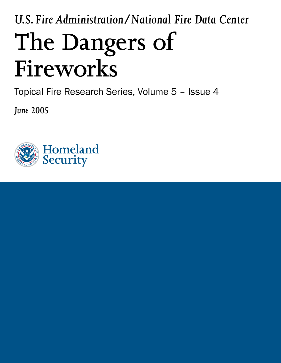# *U.S. Fire Administration/National Fire Data Center* **The Dangers of Fireworks**

Topical Fire Research Series, Volume 5 – Issue 4

*June 2005*

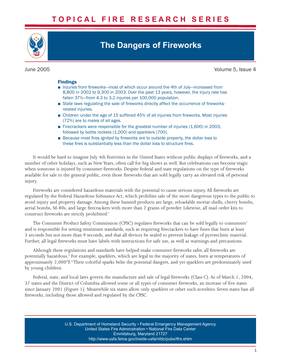# **T O P I C A L F I R E R E S E A R C H S E R I E S**



# **The Dangers of Fireworks**

June 2005 Volume 5, Issue 4

## Findings

- Injuries from fireworks—most of which occur around the 4th of July—increased from 8,800 in 2002 to 9,300 in 2003. Over the past 13 years, however, the injury rate has fallen 37%—from 4.3 to 3.2 injuries per 100,000 population.
- State laws regulating the sale of fireworks directly affect the occurrence of fireworksrelated injuries.
- Children under the age of 15 suffered 45% of all injuries from fireworks. Most injuries (72%) are to males of all ages.
- Firecrackers were responsible for the greatest number of injuries (1,600) in 2003, followed by bottle rockets (1,000) and sparklers (700).
- Because most fires ignited by fireworks are to outside property, the dollar loss to these fires is substantially less than the dollar loss to structure fires.

It would be hard to imagine July 4th festivities in the United States without public displays of fireworks, and a number of other holidays, such as New Years, often call for big shows as well. But celebrations can become tragic when someone is injured by consumer fireworks. Despite federal and state regulations on the type of fireworks available for sale to the general public, even those fireworks that are sold legally carry an elevated risk of personal injury.

Fireworks are considered hazardous materials with the potential to cause serious injury. All fireworks are regulated by the Federal Hazardous Substance Act, which prohibits sale of the more dangerous types to the public to avoid injury and property damage. Among these banned products are large, reloadable mortar shells, cherry bombs, aerial bombs, M-80s, and large firecrackers with more than 2 grains of powder. Likewise, all mail order kits to construct fireworks are strictly prohibited.<sup>1</sup>

The Consumer Product Safety Commission (CPSC) regulates fireworks that can be sold legally to consumers<sup>2</sup> and is responsible for setting minimum standards, such as requiring firecrackers to have fuses that burn at least 3 seconds but not more than 9 seconds, and that all devices be sealed to prevent leakage of pyrotechnic material. Further, all legal fireworks must have labels with instructions for safe use, as well as warnings and precautions.

Although these regulations and standards have helped make consumer fireworks safer, all fireworks are potentially hazardous. 3 For example, sparklers, which are legal in the majority of states, burn at temperatures of approximately 2,000°F. 4 Their colorful sparks belie the potential dangers, and yet sparklers are predominately used by young children.

Federal, state, and local laws govern the manufacture and sale of legal fireworks (Class C). As of March 1, 2004, 37 states and the District of Columbia allowed some or all types of consumer fireworks, an increase of five states since January 2001 (Figure 1). Meanwhile six states allow only sparklers or other such novelties. Seven states ban all fireworks, including those allowed and regulated by the CPSC.

> U.S. Department of Homeland Security • Federal Emergency Management Agency United States Fire Administration • National Fire Data Center Emmitsburg, Maryland 21727 <http://www.usfa.fema.gov/inside-usfa/nfdc/pubs/tfrs.shtm>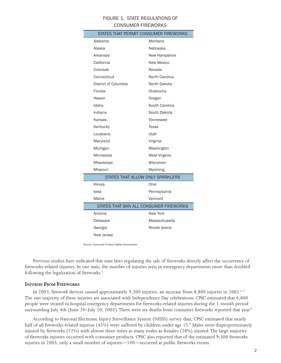# FIGURE 1. STATE REGULATIONS OF CONSUMER FIREWORKS

| STATES THAT PERMIT CONSUMER FIREWORKS  |  |  |  |  |  |  |
|----------------------------------------|--|--|--|--|--|--|
| Montana                                |  |  |  |  |  |  |
| Nebraska                               |  |  |  |  |  |  |
| New Hampshire                          |  |  |  |  |  |  |
| <b>New Mexico</b>                      |  |  |  |  |  |  |
| Nevada                                 |  |  |  |  |  |  |
| North Carolina                         |  |  |  |  |  |  |
| North Dakota                           |  |  |  |  |  |  |
| Oklahoma                               |  |  |  |  |  |  |
| Oregon                                 |  |  |  |  |  |  |
| South Carolina                         |  |  |  |  |  |  |
| South Dakota                           |  |  |  |  |  |  |
| Tennessee                              |  |  |  |  |  |  |
| Texas                                  |  |  |  |  |  |  |
| Utah                                   |  |  |  |  |  |  |
| Virginia                               |  |  |  |  |  |  |
| Washington                             |  |  |  |  |  |  |
| West Virginia                          |  |  |  |  |  |  |
| Wisconsin                              |  |  |  |  |  |  |
| Wyoming                                |  |  |  |  |  |  |
| STATES THAT ALLOW ONLY SPARKLERS       |  |  |  |  |  |  |
| Ohio                                   |  |  |  |  |  |  |
| Pennsylvania                           |  |  |  |  |  |  |
| Vermont                                |  |  |  |  |  |  |
| STATES THAT BAN ALL CONSUMER FIREWORKS |  |  |  |  |  |  |
| New York                               |  |  |  |  |  |  |
| Massachusetts                          |  |  |  |  |  |  |
| Rhode Island                           |  |  |  |  |  |  |
|                                        |  |  |  |  |  |  |
|                                        |  |  |  |  |  |  |

Source: Consumer Product Safety Commission

Previous studies have indicated that state laws regulating the sale of fireworks directly affect the occurrence of fireworks-related injuries. In one state, the number of injuries seen in emergency departments more than doubled following the legalization of fireworks.<sup>5</sup>

#### **INJURIES FROM FIREWORKS**

In 2003, firework devices caused approximately 9,300 injuries, an increase from 8,800 injuries in 2002.<sup>6,7</sup> The vast majority of these injuries are associated with Independence Day celebrations. CPSC estimated that 6,800 people were treated in hospital emergency departments for fireworks-related injuries during the 1-month period surrounding July 4th (June 20–July 20, 2003). There were six deaths from consumer fireworks reported that year.<sup>8</sup>

According to National Electronic Injury Surveillance System (NEISS) survey data, CPSC estimated that nearly half of all fireworks-related injuries (45%) were suffered by children under age 15.<sup>9</sup> Males were disproportionately injured by fireworks (72%) with almost three times as many males as females (28%) injured.The large majority of fireworks injuries occurred with consumer products. CPSC also reported that of the estimated 9,300 fireworks injuries in 2003, only a small number of injuries—100—occurred at public fireworks events.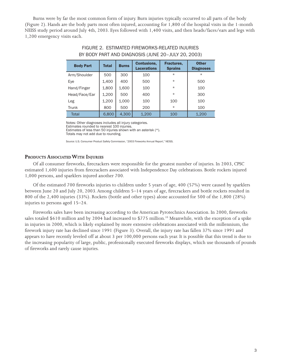Burns were by far the most common form of injury. Burn injuries typically occurred to all parts of the body (Figure 2). Hands are the body parts most often injured, accounting for 1,800 of the hospital visits in the 1-month NEISS study period around July 4th, 2003. Eyes followed with 1,400 visits, and then heads/faces/ears and legs with 1,200 emergency visits each.

| <b>Body Part</b> | Total | <b>Burns</b> | <b>Contusions,</b><br><b>Lacerations</b> | Fractures,<br><b>Sprains</b> | <b>Other</b><br><b>Diagnoses</b> |
|------------------|-------|--------------|------------------------------------------|------------------------------|----------------------------------|
| Arm/Shoulder     | 500   | 300          | 100                                      | $\star$                      | $\star$                          |
| Eye              | 1,400 | 400          | 500                                      | $\star$                      | 500                              |
| Hand/Finger      | 1,800 | 1,600        | 100                                      | $\star$                      | 100                              |
| Head/Face/Ear    | 1,200 | 500          | 400                                      | $\star$                      | 300                              |
| Leg              | 1,200 | 1,000        | 100                                      | 100                          | 100                              |
| Trunk            | 800   | 500          | 200                                      | $\star$                      | 100                              |
| <b>Total</b>     | 6,800 | 4.300        | 1,200                                    | 100                          | 1,200                            |

# FIGURE 2. ESTIMATED FIREWORKS-RELATED INJURIES BY BODY PART AND DIAGNOSIS (JUNE 20–JULY 20, 2003)

Notes: Other diagnoses includes all injury categories.

Estimates rounded to nearest 100 injuries. Estimates of less than 50 injuries shown with an asterisk (\*).

Totals may not add due to rounding.

Source: U.S. Consumer Product Safety Commission, "2003 Fireworks Annual Report," NEISS.

# **PRODUCTS ASSOCIATED WITH INJURIES**

Of all consumer fireworks, firecrackers were responsible for the greatest number of injuries. In 2003, CPSC estimated 1,600 injuries from firecrackers associated with Independence Day celebrations. Bottle rockets injured 1,000 persons, and sparklers injured another 700.

Of the estimated 700 fireworks injuries to children under 5 years of age, 400 (57%) were caused by sparklers between June 20 and July 20, 2003. Among children 5–14 years of age, firecrackers and bottle rockets resulted in 800 of the 2,400 injuries (33%). Rockets (bottle and other types) alone accounted for 500 of the 1,800 (28%) injuries to persons aged 15–24.

Fireworks sales have been increasing according to the American Pyrotechnics Association. In 2000, fireworks sales totaled \$610 million and by 2004 had increased to \$775 million.<sup>10</sup> Meanwhile, with the exception of a spike in injuries in 2000, which is likely explained by more extensive celebrations associated with the millennium, the firework injury rate has declined since 1991 (Figure 3). Overall, the injury rate has fallen 37% since 1991 and appears to have recently leveled off at about 3 per 100,000 persons each year. It is possible that this trend is due to the increasing popularity of large, public, professionally executed fireworks displays, which use thousands of pounds of fireworks and rarely cause injuries.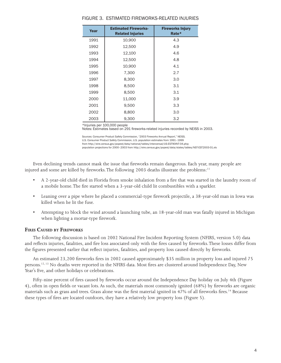| Year | <b>Estimated Fireworks-</b><br><b>Related Injuries</b> | <b>Fireworks Injury</b><br>Rate* |
|------|--------------------------------------------------------|----------------------------------|
| 1991 | 10,900                                                 | 4.3                              |
| 1992 | 12,500                                                 | 4.9                              |
| 1993 | 12,100                                                 | 4.6                              |
| 1994 | 12,500                                                 | 4.8                              |
| 1995 | 10,900                                                 | 4.1                              |
| 1996 | 7,300                                                  | 2.7                              |
| 1997 | 8,300                                                  | 3.0                              |
| 1998 | 8,500                                                  | 3.1                              |
| 1999 | 8,500                                                  | 3.1                              |
| 2000 | 11,000                                                 | 3.9                              |
| 2001 | 9,500                                                  | 3.3                              |
| 2002 | 8,800                                                  | 3.0                              |
| 2003 | 9,300                                                  | 3.2                              |

#### FIGURE 3. ESTIMATED FIREWORKS-RELATED INJURIES

\*Injuries per 100,000 people

Notes: Estimates based on 291 fireworks-related injuries recorded by NEISS in 2003.

Sources: Consumer Product Safety Commission, "2003 Fireworks Annual Report," NEISS. U.S. Consumer Product Safety Commission, U.S. population estimates from 1991–1999 from [http://eire.census.gov/popest/data/national/tables/intercensal/US-EST90INT-04.php;](http://eire.census.gov/popest/data/national/tables/intercensal/US-EST90INT-04.php) 

population projections for 2000–2003 from<http://eire.census.gov/popest/data/states/tables/NST-EST2003-01.xls>

Even declining trends cannot mask the issue that fireworks remain dangerous. Each year, many people are injured and some are killed by fireworks. The following 2003 deaths illustrate the problems:<sup>11</sup>

- A 2-year-old child died in Florida from smoke inhalation from a fire that was started in the laundry room of a mobile home.The fire started when a 3-year-old child lit combustibles with a sparkler.
- Leaning over a pipe where he placed a commercial-type firework projectile, a 38-year-old man in Iowa was killed when he lit the fuse.
- Attempting to block the wind around a launching tube, an 18-year-old man was fatally injured in Michigan when lighting a mortar-type firework.

### **FIRES CAUSED BY FIREWORKS**

The following discussion is based on 2002 National Fire Incident Reporting System (NFIRS, version 5.0) data and reflects injuries, fatalities, and fire loss associated only with the fires caused by fireworks. These losses differ from the figures presented earlier that reflect injuries, fatalities, and property loss caused directly by fireworks.

An estimated 23,200 fireworks fires in 2002 caused approximately \$35 million in property loss and injured 75 persons.<sup>12, 13</sup> No deaths were reported in the NFIRS data. Most fires are clustered around Independence Day, New Year's Eve, and other holidays or celebrations.

Fifty-nine percent of fires caused by fireworks occur around the Independence Day holiday on July 4th (Figure 4), often in open fields or vacant lots. As such, the materials most commonly ignited (68%) by fireworks are organic materials such as grass and trees. Grass alone was the first material ignited in 47% of all fireworks fires.<sup>14</sup> Because these types of fires are located outdoors, they have a relatively low property loss (Figure 5).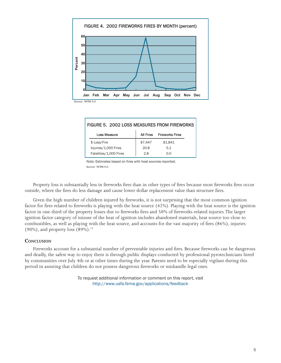

| FIGURE 5. 2002 LOSS MEASURES FROM FIREWORKS |                        |                  |                        |  |  |  |  |
|---------------------------------------------|------------------------|------------------|------------------------|--|--|--|--|
|                                             | <b>Loss Measure</b>    | <b>All Fires</b> | <b>Fireworks Fires</b> |  |  |  |  |
|                                             | \$ Loss/Fire           | \$7,447          | \$1.841                |  |  |  |  |
|                                             | Injuries/1,000 Fires   | 20.8             | 5.1                    |  |  |  |  |
|                                             | Fatalities/1,000 Fires | 2.8              | O.O                    |  |  |  |  |
|                                             |                        |                  |                        |  |  |  |  |

Note: Estimates based on fires with heat sources reported. Source: NFIRS 5.0

Property loss is substantially less in fireworks fires than in other types of fires because most fireworks fires occur outside, where the fires do less damage and cause lower dollar replacement value than structure fires.

Given the high number of children injured by fireworks, it is not surprising that the most common ignition factor for fires related to fireworks is playing with the heat source (42%). Playing with the heat source is the ignition factor in one-third of the property losses due to fireworks fires and 50% of fireworks-related injuries. The larger ignition factor category of misuse of the heat of ignition includes abandoned materials, heat source too close to combustibles, as well as playing with the heat source, and accounts for the vast majority of fires (86%), injuries (90%), and property loss  $(89\%)$ .<sup>15</sup>

# **CONCLUSION**

Fireworks account for a substantial number of preventable injuries and fires. Because fireworks can be dangerous and deadly, the safest way to enjoy them is through public displays conducted by professional pyrotechnicians hired by communities over July 4th or at other times during the year. Parents need to be especially vigilant during this period in assuring that children do not possess dangerous fireworks or mishandle legal ones.

> To request additional information or comment on this report, visit <http://www.usfa.fema.gov/applications/feedback>